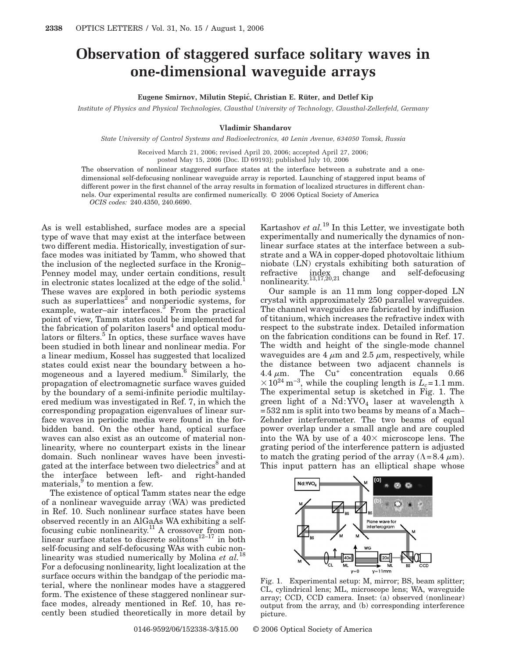## **Observation of staggered surface solitary waves in one-dimensional waveguide arrays**

## **Eugene Smirnov, Milutin Stepic´, Christian E. Rüter, and Detlef Kip**

*Institute of Physics and Physical Technologies, Clausthal University of Technology, Clausthal-Zellerfeld, Germany*

## **Vladimir Shandarov**

*State University of Control Systems and Radioelectronics, 40 Lenin Avenue, 634050 Tomsk, Russia*

Received March 21, 2006; revised April 20, 2006; accepted April 27, 2006;

posted May 15, 2006 (Doc. ID 69193); published July 10, 2006

The observation of nonlinear staggered surface states at the interface between a substrate and a onedimensional self-defocusing nonlinear waveguide array is reported. Launching of staggered input beams of different power in the first channel of the array results in formation of localized structures in different channels. Our experimental results are confirmed numerically. © 2006 Optical Society of America *OCIS codes:* 240.4350, 240.6690.

As is well established, surface modes are a special type of wave that may exist at the interface between two different media. Historically, investigation of surface modes was initiated by Tamm, who showed that the inclusion of the neglected surface in the Kronig– Penney model may, under certain conditions, result in electronic states localized at the edge of the solid. $<sup>1</sup>$ </sup> These waves are explored in both periodic systems such as superlattices<sup>2</sup> and nonperiodic systems, for example, water–air interfaces. $3$  From the practical point of view, Tamm states could be implemented for the fabrication of polariton lasers<sup>4</sup> and optical modulators or filters. $5 \text{ In optics}$ , these surface waves have been studied in both linear and nonlinear media. For a linear medium, Kossel has suggested that localized states could exist near the boundary between a homogeneous and a layered medium. $6 \text{ Similarly, the}$ propagation of electromagnetic surface waves guided by the boundary of a semi-infinite periodic multilayered medium was investigated in Ref. 7, in which the corresponding propagation eigenvalues of linear surface waves in periodic media were found in the forbidden band. On the other hand, optical surface waves can also exist as an outcome of material nonlinearity, where no counterpart exists in the linear domain. Such nonlinear waves have been investigated at the interface between two dielectrics<sup>8</sup> and at the interface between left- and right-handed materials, <sup>9</sup> to mention a few.

The existence of optical Tamm states near the edge of a nonlinear waveguide array (WA) was predicted in Ref. 10. Such nonlinear surface states have been observed recently in an AlGaAs WA exhibiting a selffocusing cubic nonlinearity.<sup>11</sup> A crossover from nonlinear surface states to discrete solitons<sup>12–17</sup> in both self-focusing and self-defocusing WAs with cubic non-<br> $\frac{1}{2}$  M. Films of  $\frac{1}{2}$  M. linearity was studied numerically by Molina et al.<sup>1</sup> For a defocusing nonlinearity, light localization at the surface occurs within the bandgap of the periodic material, where the nonlinear modes have a staggered form. The existence of these staggered nonlinear surface modes, already mentioned in Ref. 10, has recently been studied theoretically in more detail by

Kartashov *et al.*<sup>19</sup> In this Letter, we investigate both experimentally and numerically the dynamics of nonlinear surface states at the interface between a substrate and a WA in copper-doped photovoltaic lithium niobate (LN) crystals exhibiting both saturation of refractive index change and self-defocusing nonlinearity.<sup>13,17,20,21</sup>

Our sample is an 11 mm long copper-doped LN crystal with approximately 250 parallel waveguides. The channel waveguides are fabricated by indiffusion of titanium, which increases the refractive index with respect to the substrate index. Detailed information on the fabrication conditions can be found in Ref. 17. The width and height of the single-mode channel waveguides are 4  $\mu$ m and 2.5  $\mu$ m, respectively, while the distance between two adjacent channels is 4.4  $\mu$ m. The Cu<sup>+</sup> concentration equals 0.66  $\times$  10<sup>24</sup> m<sup>-3</sup>, while the coupling length is  $L_c$ =1.1 mm. The experimental setup is sketched in Fig. 1. The green light of a Nd:YVO<sub>4</sub> laser at wavelength  $\lambda$ =532 nm is split into two beams by means of a Mach– Zehnder interferometer. The two beams of equal power overlap under a small angle and are coupled into the WA by use of a  $40\times$  microscope lens. The grating period of the interference pattern is adjusted to match the grating period of the array  $(\Lambda = 8.4 \mu m)$ . This input pattern has an elliptical shape whose



Fig. 1. Experimental setup: M, mirror; BS, beam splitter; CL, cylindrical lens; ML, microscope lens; WA, waveguide array; CCD, CCD camera. Inset: (a) observed (nonlinear) output from the array, and (b) corresponding interference picture.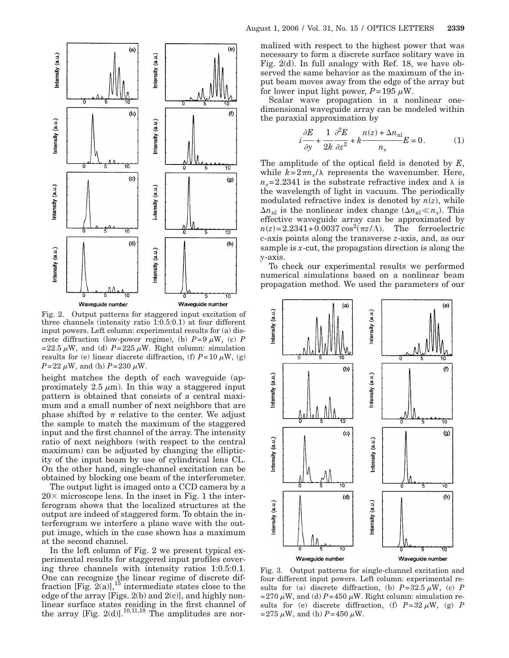

Fig. 2. Output patterns for staggered input excitation of three channels (intensity ratio 1:0.5:0.1) at four different input powers. Left column: experimental results for (a) discrete diffraction (low-power regime), (b)  $P=9 \mu W$ , (c) *P* =22.5  $\mu$ W, and (d) *P*=225  $\mu$ W. Right column: simulation results for (e) linear discrete diffraction, (f)  $P=10 \mu W$ , (g)  $P = 22 \mu W$ , and (h)  $P = 230 \mu W$ .

height matches the depth of each waveguide (approximately 2.5  $\mu$ m). In this way a staggered input pattern is obtained that consists of a central maximum and a small number of next neighbors that are phase shifted by  $\pi$  relative to the center. We adjust the sample to match the maximum of the staggered input and the first channel of the array. The intensity ratio of next neighbors (with respect to the central maximum) can be adjusted by changing the ellipticity of the input beam by use of cylindrical lens CL. On the other hand, single-channel excitation can be obtained by blocking one beam of the interferometer.

The output light is imaged onto a CCD camera by a  $20\times$  microscope lens. In the inset in Fig. 1 the interferogram shows that the localized structures at the output are indeed of staggered form. To obtain the interferogram we interfere a plane wave with the output image, which in the case shown has a maximum at the second channel.

In the left column of Fig. 2 we present typical experimental results for staggered input profiles covering three channels with intensity ratios 1:0.5:0.1. One can recognize the linear regime of discrete diffraction [Fig.  $2(a)$ ],<sup>15</sup> intermediate states close to the edge of the array [Figs.  $2(b)$  and  $2(c)$ ], and highly nonlinear surface states residing in the first channel of the array [Fig. 2(d)].<sup>10,11,18</sup> The amplitudes are normalized with respect to the highest power that was necessary to form a discrete surface solitary wave in Fig. 2(d). In full analogy with Ref. 18, we have observed the same behavior as the maximum of the input beam moves away from the edge of the array but for lower input light power,  $P=195 \mu W$ .

Scalar wave propagation in a nonlinear onedimensional waveguide array can be modeled within the paraxial approximation by

$$
i\frac{\partial E}{\partial y} + \frac{1}{2k}\frac{\partial^2 E}{\partial z^2} + k\frac{n(z) + \Delta n_{\rm nl}}{n_s}E = 0.
$$
 (1)

The amplitude of the optical field is denoted by *E*, while  $k=2\pi n_s/\lambda$  represents the wavenumber. Here,  $n_s$ =2.2341 is the substrate refractive index and  $\lambda$  is the wavelength of light in vacuum. The periodically modulated refractive index is denoted by  $n(z)$ , while  $\Delta n_{\text{nl}}$  is the nonlinear index change  $(\Delta n_{\text{nl}} \ll n_s)$ . This effective waveguide array can be approximated by  $n(z) = 2.2341 + 0.0037 \cos^2(\pi z/\Lambda)$ . The ferroelectric *c*-axis points along the transverse *z*-axis, and, as our sample is *x*-cut, the propagation direction is along the *y*-axis.

To check our experimental results we performed numerical simulations based on a nonlinear beam propagation method. We used the parameters of our



Fig. 3. Output patterns for single-channel excitation and four different input powers. Left column: experimental results for (a) discrete diffraction, (b)  $P=32.5 \mu W$ , (c) *P* =270  $\mu$ W, and (d) *P*=450  $\mu$ W. Right column: simulation results for (e) discrete diffraction, (f)  $P=32 \mu W$ , (g) *P*  $=275 \mu W$ , and (h)  $P=450 \mu W$ .